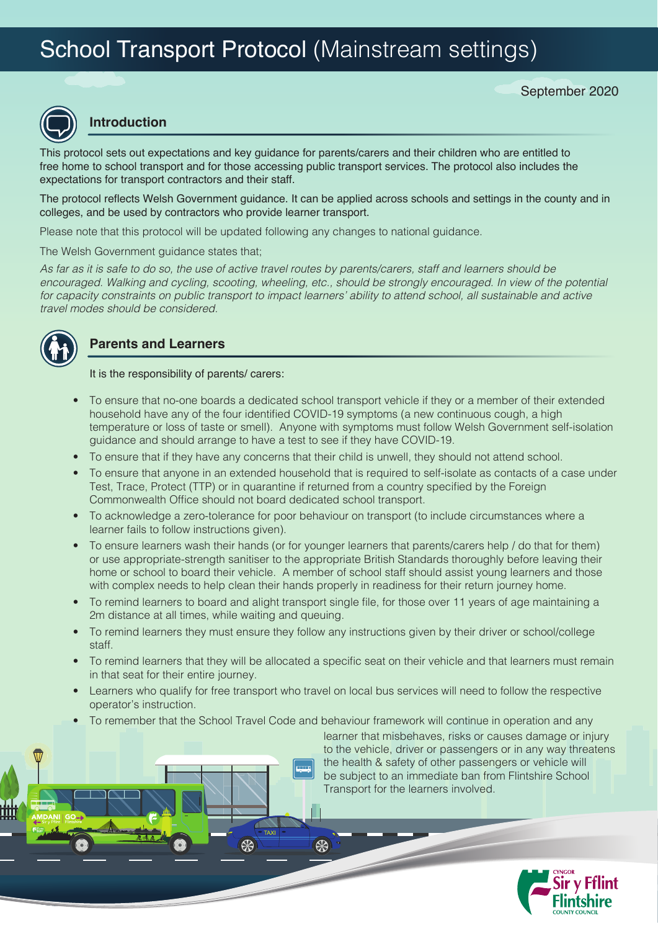# School Transport Protocol (Mainstream settings)



### **Introduction**

This protocol sets out expectations and key guidance for parents/carers and their children who are entitled to free home to school transport and for those accessing public transport services. The protocol also includes the expectations for transport contractors and their staff.

The protocol reflects Welsh Government guidance. It can be applied across schools and settings in the county and in colleges, and be used by contractors who provide learner transport.

Please note that this protocol will be updated following any changes to national guidance.

The Welsh Government guidance states that;

*As far as it is safe to do so, the use of active travel routes by parents/carers, staff and learners should be encouraged. Walking and cycling, scooting, wheeling, etc., should be strongly encouraged. In view of the potential for capacity constraints on public transport to impact learners' ability to attend school, all sustainable and active travel modes should be considered.* 



### **Parents and Learners**

It is the responsibility of parents/ carers:

- To ensure that no-one boards a dedicated school transport vehicle if they or a member of their extended household have any of the four identified COVID-19 symptoms (a new continuous cough, a high temperature or loss of taste or smell). Anyone with symptoms must follow Welsh Government self-isolation guidance and should arrange to have a test to see if they have COVID-19.
- To ensure that if they have any concerns that their child is unwell, they should not attend school.
- To ensure that anyone in an extended household that is required to self-isolate as contacts of a case under Test, Trace, Protect (TTP) or in quarantine if returned from a country specified by the Foreign Commonwealth Office should not board dedicated school transport.
- To acknowledge a zero-tolerance for poor behaviour on transport (to include circumstances where a learner fails to follow instructions given).
- To ensure learners wash their hands (or for younger learners that parents/carers help / do that for them) or use appropriate-strength sanitiser to the appropriate British Standards thoroughly before leaving their home or school to board their vehicle. A member of school staff should assist young learners and those with complex needs to help clean their hands properly in readiness for their return journey home.
- To remind learners to board and alight transport single file, for those over 11 years of age maintaining a 2m distance at all times, while waiting and queuing.
- To remind learners they must ensure they follow any instructions given by their driver or school/college staff.
- To remind learners that they will be allocated a specific seat on their vehicle and that learners must remain in that seat for their entire journey.
- Learners who qualify for free transport who travel on local bus services will need to follow the respective operator's instruction.
- To remember that the School Travel Code and behaviour framework will continue in operation and any

₩

\$

learner that misbehaves, risks or causes damage or injury to the vehicle, driver or passengers or in any way threatens the health & safety of other passengers or vehicle will be subject to an immediate ban from Flintshire School Transport for the learners involved.

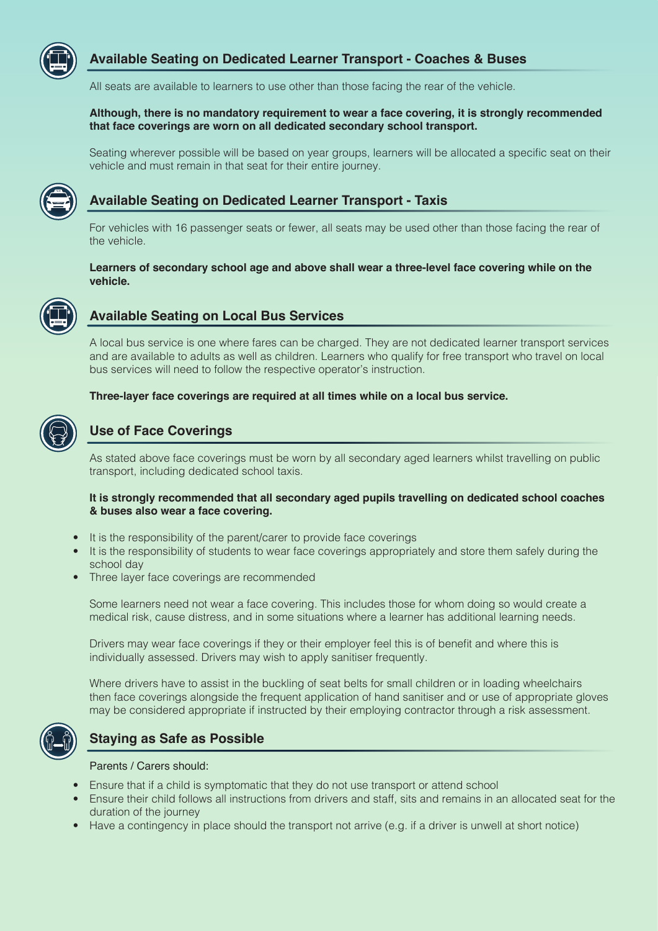

### **Available Seating on Dedicated Learner Transport - Coaches & Buses**

All seats are available to learners to use other than those facing the rear of the vehicle.

#### **Although, there is no mandatory requirement to wear a face covering, it is strongly recommended that face coverings are worn on all dedicated secondary school transport.**

 Seating wherever possible will be based on year groups, learners will be allocated a specific seat on their vehicle and must remain in that seat for their entire journey.



### **Available Seating on Dedicated Learner Transport - Taxis**

 For vehicles with 16 passenger seats or fewer, all seats may be used other than those facing the rear of the vehicle.

#### **Learners of secondary school age and above shall wear a three-level face covering while on the vehicle.**



### **Available Seating on Local Bus Services**

 A local bus service is one where fares can be charged. They are not dedicated learner transport services and are available to adults as well as children. Learners who qualify for free transport who travel on local bus services will need to follow the respective operator's instruction.

#### **Three-layer face coverings are required at all times while on a local bus service.**



### **Use of Face Coverings**

 As stated above face coverings must be worn by all secondary aged learners whilst travelling on public transport, including dedicated school taxis.

#### **It is strongly recommended that all secondary aged pupils travelling on dedicated school coaches & buses also wear a face covering.**

- It is the responsibility of the parent/carer to provide face coverings
- It is the responsibility of students to wear face coverings appropriately and store them safely during the school day
- Three layer face coverings are recommended

 Some learners need not wear a face covering. This includes those for whom doing so would create a medical risk, cause distress, and in some situations where a learner has additional learning needs.

 Drivers may wear face coverings if they or their employer feel this is of benefit and where this is individually assessed. Drivers may wish to apply sanitiser frequently.

 Where drivers have to assist in the buckling of seat belts for small children or in loading wheelchairs then face coverings alongside the frequent application of hand sanitiser and or use of appropriate gloves may be considered appropriate if instructed by their employing contractor through a risk assessment.



### **Staying as Safe as Possible**

Parents / Carers should:

- Ensure that if a child is symptomatic that they do not use transport or attend school
- Ensure their child follows all instructions from drivers and staff, sits and remains in an allocated seat for the duration of the journey
- Have a contingency in place should the transport not arrive (e.g. if a driver is unwell at short notice)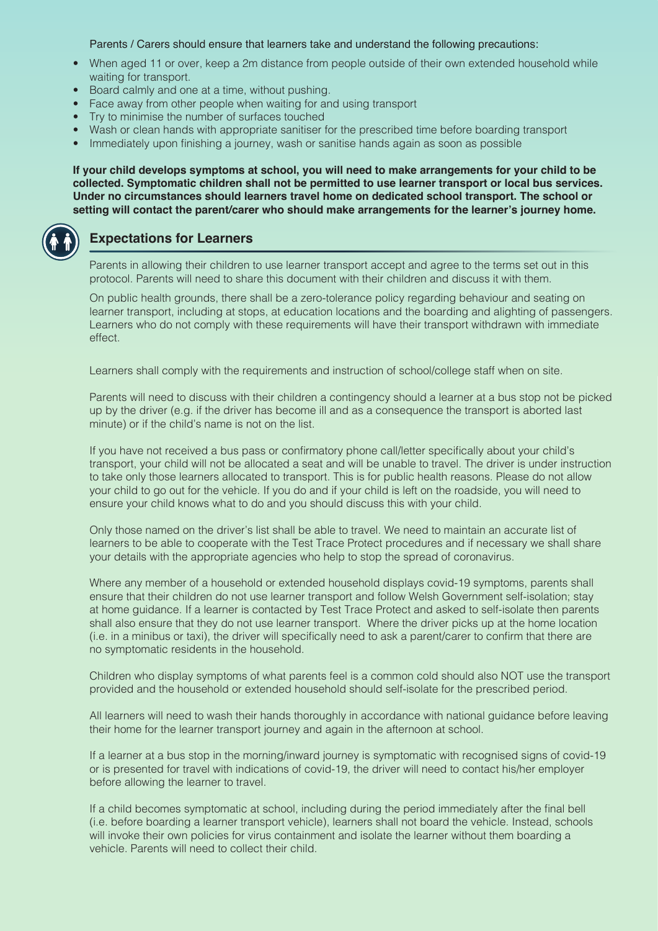Parents / Carers should ensure that learners take and understand the following precautions:

- When aged 11 or over, keep a 2m distance from people outside of their own extended household while waiting for transport.
- Board calmly and one at a time, without pushing.
- Face away from other people when waiting for and using transport
- Try to minimise the number of surfaces touched
- Wash or clean hands with appropriate sanitiser for the prescribed time before boarding transport
- Immediately upon finishing a journey, wash or sanitise hands again as soon as possible

**If your child develops symptoms at school, you will need to make arrangements for your child to be collected. Symptomatic children shall not be permitted to use learner transport or local bus services. Under no circumstances should learners travel home on dedicated school transport. The school or setting will contact the parent/carer who should make arrangements for the learner's journey home.**



### **Expectations for Learners**

 Parents in allowing their children to use learner transport accept and agree to the terms set out in this protocol. Parents will need to share this document with their children and discuss it with them.

 On public health grounds, there shall be a zero-tolerance policy regarding behaviour and seating on learner transport, including at stops, at education locations and the boarding and alighting of passengers. Learners who do not comply with these requirements will have their transport withdrawn with immediate effect.

Learners shall comply with the requirements and instruction of school/college staff when on site.

 Parents will need to discuss with their children a contingency should a learner at a bus stop not be picked up by the driver (e.g. if the driver has become ill and as a consequence the transport is aborted last minute) or if the child's name is not on the list.

 If you have not received a bus pass or confirmatory phone call/letter specifically about your child's transport, your child will not be allocated a seat and will be unable to travel. The driver is under instruction to take only those learners allocated to transport. This is for public health reasons. Please do not allow your child to go out for the vehicle. If you do and if your child is left on the roadside, you will need to ensure your child knows what to do and you should discuss this with your child.

 Only those named on the driver's list shall be able to travel. We need to maintain an accurate list of learners to be able to cooperate with the Test Trace Protect procedures and if necessary we shall share your details with the appropriate agencies who help to stop the spread of coronavirus.

 Where any member of a household or extended household displays covid-19 symptoms, parents shall ensure that their children do not use learner transport and follow Welsh Government self-isolation; stay at home guidance. If a learner is contacted by Test Trace Protect and asked to self-isolate then parents shall also ensure that they do not use learner transport. Where the driver picks up at the home location (i.e. in a minibus or taxi), the driver will specifically need to ask a parent/carer to confirm that there are no symptomatic residents in the household.

 Children who display symptoms of what parents feel is a common cold should also NOT use the transport provided and the household or extended household should self-isolate for the prescribed period.

 All learners will need to wash their hands thoroughly in accordance with national guidance before leaving their home for the learner transport journey and again in the afternoon at school.

 If a learner at a bus stop in the morning/inward journey is symptomatic with recognised signs of covid-19 or is presented for travel with indications of covid-19, the driver will need to contact his/her employer before allowing the learner to travel.

 If a child becomes symptomatic at school, including during the period immediately after the final bell (i.e. before boarding a learner transport vehicle), learners shall not board the vehicle. Instead, schools will invoke their own policies for virus containment and isolate the learner without them boarding a vehicle. Parents will need to collect their child.